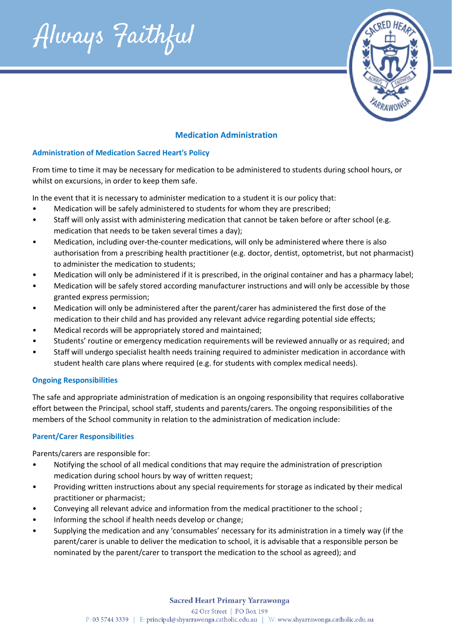Always Faithful



# **Medication Administration**

### **Administration of Medication Sacred Heart's Policy**

From time to time it may be necessary for medication to be administered to students during school hours, or whilst on excursions, in order to keep them safe.

In the event that it is necessary to administer medication to a student it is our policy that:

- Medication will be safely administered to students for whom they are prescribed;
- Staff will only assist with administering medication that cannot be taken before or after school (e.g. medication that needs to be taken several times a day);
- Medication, including over-the-counter medications, will only be administered where there is also authorisation from a prescribing health practitioner (e.g. doctor, dentist, optometrist, but not pharmacist) to administer the medication to students;
- Medication will only be administered if it is prescribed, in the original container and has a pharmacy label;
- Medication will be safely stored according manufacturer instructions and will only be accessible by those granted express permission;
- Medication will only be administered after the parent/carer has administered the first dose of the medication to their child and has provided any relevant advice regarding potential side effects;
- Medical records will be appropriately stored and maintained;
- Students' routine or emergency medication requirements will be reviewed annually or as required; and
- Staff will undergo specialist health needs training required to administer medication in accordance with student health care plans where required (e.g. for students with complex medical needs).

## **Ongoing Responsibilities**

The safe and appropriate administration of medication is an ongoing responsibility that requires collaborative effort between the Principal, school staff, students and parents/carers. The ongoing responsibilities of the members of the School community in relation to the administration of medication include:

## **Parent/Carer Responsibilities**

Parents/carers are responsible for:

- Notifying the school of all medical conditions that may require the administration of prescription medication during school hours by way of written request;
- Providing written instructions about any special requirements for storage as indicated by their medical practitioner or pharmacist;
- Conveying all relevant advice and information from the medical practitioner to the school ;
- Informing the school if health needs develop or change;
- Supplying the medication and any 'consumables' necessary for its administration in a timely way (if the parent/carer is unable to deliver the medication to school, it is advisable that a responsible person be nominated by the parent/carer to transport the medication to the school as agreed); and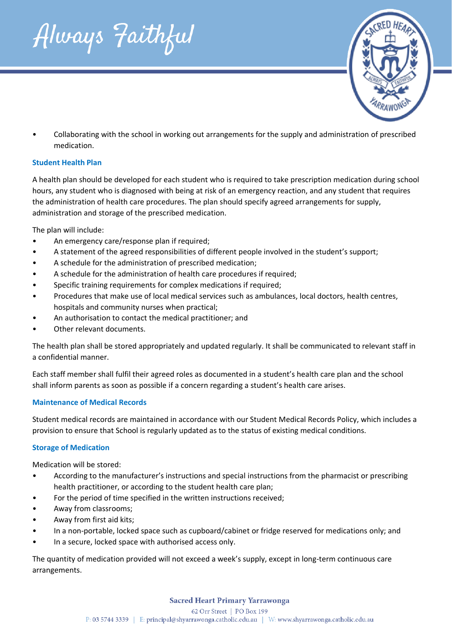



• Collaborating with the school in working out arrangements for the supply and administration of prescribed medication.

# **Student Health Plan**

A health plan should be developed for each student who is required to take prescription medication during school hours, any student who is diagnosed with being at risk of an emergency reaction, and any student that requires the administration of health care procedures. The plan should specify agreed arrangements for supply, administration and storage of the prescribed medication.

The plan will include:

- An emergency care/response plan if required;
- A statement of the agreed responsibilities of different people involved in the student's support;
- A schedule for the administration of prescribed medication;
- A schedule for the administration of health care procedures if required;
- Specific training requirements for complex medications if required;
- Procedures that make use of local medical services such as ambulances, local doctors, health centres, hospitals and community nurses when practical;
- An authorisation to contact the medical practitioner; and
- Other relevant documents.

The health plan shall be stored appropriately and updated regularly. It shall be communicated to relevant staff in a confidential manner.

Each staff member shall fulfil their agreed roles as documented in a student's health care plan and the school shall inform parents as soon as possible if a concern regarding a student's health care arises.

## **Maintenance of Medical Records**

Student medical records are maintained in accordance with our Student Medical Records Policy, which includes a provision to ensure that School is regularly updated as to the status of existing medical conditions.

## **Storage of Medication**

Medication will be stored:

- According to the manufacturer's instructions and special instructions from the pharmacist or prescribing health practitioner, or according to the student health care plan;
- For the period of time specified in the written instructions received;
- Away from classrooms;
- Away from first aid kits;
- In a non-portable, locked space such as cupboard/cabinet or fridge reserved for medications only; and
- In a secure, locked space with authorised access only.

The quantity of medication provided will not exceed a week's supply, except in long-term continuous care arrangements.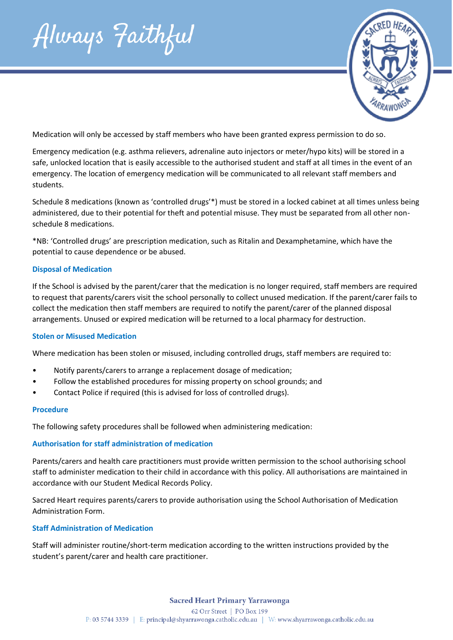Always Faithful



Medication will only be accessed by staff members who have been granted express permission to do so.

Emergency medication (e.g. asthma relievers, adrenaline auto injectors or meter/hypo kits) will be stored in a safe, unlocked location that is easily accessible to the authorised student and staff at all times in the event of an emergency. The location of emergency medication will be communicated to all relevant staff members and students.

Schedule 8 medications (known as 'controlled drugs'\*) must be stored in a locked cabinet at all times unless being administered, due to their potential for theft and potential misuse. They must be separated from all other nonschedule 8 medications.

\*NB: 'Controlled drugs' are prescription medication, such as Ritalin and Dexamphetamine, which have the potential to cause dependence or be abused.

#### **Disposal of Medication**

If the School is advised by the parent/carer that the medication is no longer required, staff members are required to request that parents/carers visit the school personally to collect unused medication. If the parent/carer fails to collect the medication then staff members are required to notify the parent/carer of the planned disposal arrangements. Unused or expired medication will be returned to a local pharmacy for destruction.

#### **Stolen or Misused Medication**

Where medication has been stolen or misused, including controlled drugs, staff members are required to:

- Notify parents/carers to arrange a replacement dosage of medication;
- Follow the established procedures for missing property on school grounds; and
- Contact Police if required (this is advised for loss of controlled drugs).

#### **Procedure**

The following safety procedures shall be followed when administering medication:

#### **Authorisation for staff administration of medication**

Parents/carers and health care practitioners must provide written permission to the school authorising school staff to administer medication to their child in accordance with this policy. All authorisations are maintained in accordance with our Student Medical Records Policy.

Sacred Heart requires parents/carers to provide authorisation using the School Authorisation of Medication Administration Form.

## **Staff Administration of Medication**

Staff will administer routine/short-term medication according to the written instructions provided by the student's parent/carer and health care practitioner.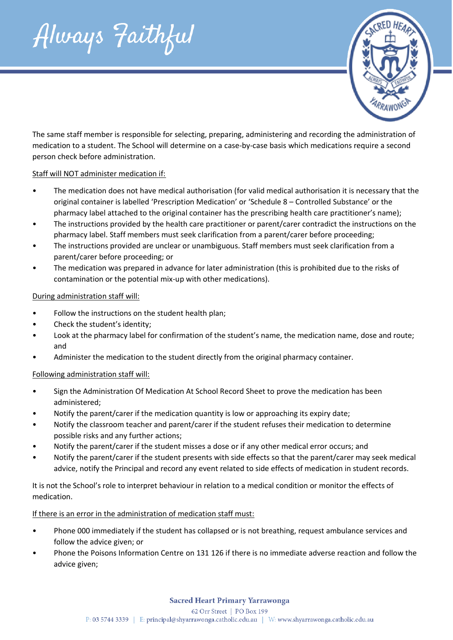Always Faithful



The same staff member is responsible for selecting, preparing, administering and recording the administration of medication to a student. The School will determine on a case-by-case basis which medications require a second person check before administration.

# Staff will NOT administer medication if:

- The medication does not have medical authorisation (for valid medical authorisation it is necessary that the original container is labelled 'Prescription Medication' or 'Schedule 8 – Controlled Substance' or the pharmacy label attached to the original container has the prescribing health care practitioner's name);
- The instructions provided by the health care practitioner or parent/carer contradict the instructions on the pharmacy label. Staff members must seek clarification from a parent/carer before proceeding;
- The instructions provided are unclear or unambiguous. Staff members must seek clarification from a parent/carer before proceeding; or
- The medication was prepared in advance for later administration (this is prohibited due to the risks of contamination or the potential mix-up with other medications).

## During administration staff will:

- Follow the instructions on the student health plan;
- Check the student's identity;
- Look at the pharmacy label for confirmation of the student's name, the medication name, dose and route; and
- Administer the medication to the student directly from the original pharmacy container.

# Following administration staff will:

- Sign the Administration Of Medication At School Record Sheet to prove the medication has been administered;
- Notify the parent/carer if the medication quantity is low or approaching its expiry date;
- Notify the classroom teacher and parent/carer if the student refuses their medication to determine possible risks and any further actions;
- Notify the parent/carer if the student misses a dose or if any other medical error occurs; and
- Notify the parent/carer if the student presents with side effects so that the parent/carer may seek medical advice, notify the Principal and record any event related to side effects of medication in student records.

It is not the School's role to interpret behaviour in relation to a medical condition or monitor the effects of medication.

# If there is an error in the administration of medication staff must:

- Phone 000 immediately if the student has collapsed or is not breathing, request ambulance services and follow the advice given; or
- Phone the Poisons Information Centre on 131 126 if there is no immediate adverse reaction and follow the advice given;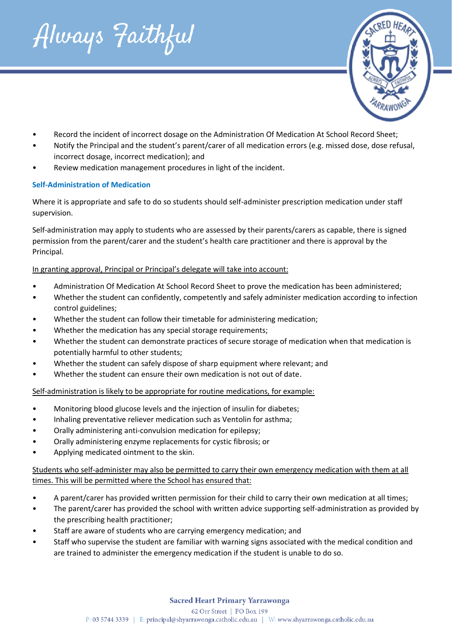



- Record the incident of incorrect dosage on the Administration Of Medication At School Record Sheet;
- Notify the Principal and the student's parent/carer of all medication errors (e.g. missed dose, dose refusal, incorrect dosage, incorrect medication); and
- Review medication management procedures in light of the incident.

# **Self-Administration of Medication**

Where it is appropriate and safe to do so students should self-administer prescription medication under staff supervision.

Self-administration may apply to students who are assessed by their parents/carers as capable, there is signed permission from the parent/carer and the student's health care practitioner and there is approval by the Principal.

# In granting approval, Principal or Principal's delegate will take into account:

- Administration Of Medication At School Record Sheet to prove the medication has been administered;
- Whether the student can confidently, competently and safely administer medication according to infection control guidelines;
- Whether the student can follow their timetable for administering medication;
- Whether the medication has any special storage requirements:
- Whether the student can demonstrate practices of secure storage of medication when that medication is potentially harmful to other students;
- Whether the student can safely dispose of sharp equipment where relevant; and
- Whether the student can ensure their own medication is not out of date.

Self-administration is likely to be appropriate for routine medications, for example:

- Monitoring blood glucose levels and the injection of insulin for diabetes;
- Inhaling preventative reliever medication such as Ventolin for asthma;
- Orally administering anti-convulsion medication for epilepsy;
- Orally administering enzyme replacements for cystic fibrosis; or
- Applying medicated ointment to the skin.

# Students who self-administer may also be permitted to carry their own emergency medication with them at all times. This will be permitted where the School has ensured that:

- A parent/carer has provided written permission for their child to carry their own medication at all times;
- The parent/carer has provided the school with written advice supporting self-administration as provided by the prescribing health practitioner;
- Staff are aware of students who are carrying emergency medication; and
- Staff who supervise the student are familiar with warning signs associated with the medical condition and are trained to administer the emergency medication if the student is unable to do so.